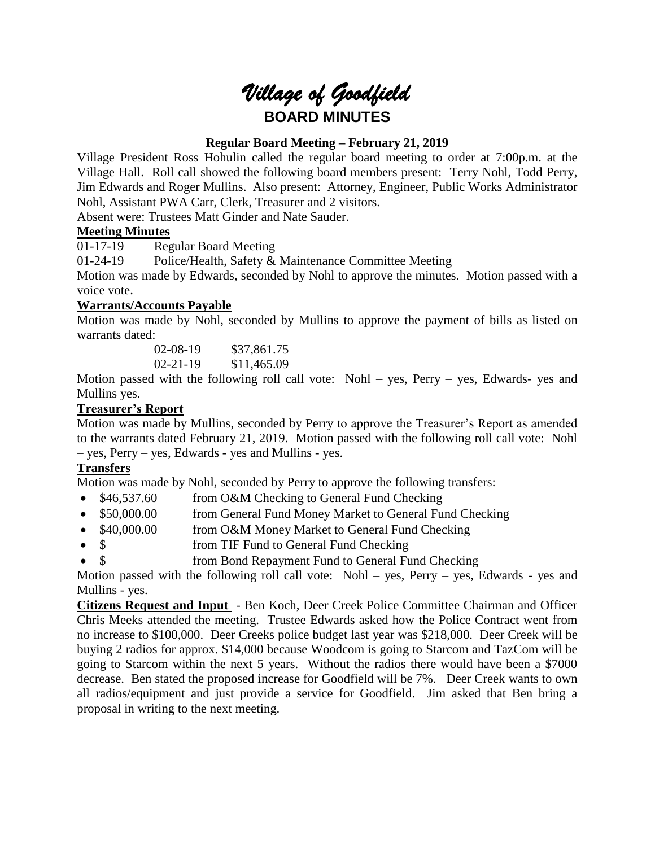# *Village of Goodfield* **BOARD MINUTES**

# **Regular Board Meeting – February 21, 2019**

Village President Ross Hohulin called the regular board meeting to order at 7:00p.m. at the Village Hall. Roll call showed the following board members present: Terry Nohl, Todd Perry, Jim Edwards and Roger Mullins. Also present: Attorney, Engineer, Public Works Administrator Nohl, Assistant PWA Carr, Clerk, Treasurer and 2 visitors.

Absent were: Trustees Matt Ginder and Nate Sauder.

# **Meeting Minutes**

01-17-19 Regular Board Meeting

01-24-19 Police/Health, Safety & Maintenance Committee Meeting

Motion was made by Edwards, seconded by Nohl to approve the minutes. Motion passed with a voice vote.

# **Warrants/Accounts Payable**

Motion was made by Nohl, seconded by Mullins to approve the payment of bills as listed on warrants dated:

> 02-08-19 \$37,861.75 02-21-19 \$11,465.09

Motion passed with the following roll call vote: Nohl – yes, Perry – yes, Edwards- yes and Mullins yes.

# **Treasurer's Report**

Motion was made by Mullins, seconded by Perry to approve the Treasurer's Report as amended to the warrants dated February 21, 2019. Motion passed with the following roll call vote: Nohl – yes, Perry – yes, Edwards - yes and Mullins - yes.

# **Transfers**

Motion was made by Nohl, seconded by Perry to approve the following transfers:

- \$46,537.60 from O&M Checking to General Fund Checking
- \$50,000.00 from General Fund Money Market to General Fund Checking
- \$40,000.00 from O&M Money Market to General Fund Checking
- \$ from TIF Fund to General Fund Checking
- \$ from Bond Repayment Fund to General Fund Checking

Motion passed with the following roll call vote: Nohl – yes, Perry – yes, Edwards - yes and Mullins - yes.

**Citizens Request and Input** - Ben Koch, Deer Creek Police Committee Chairman and Officer Chris Meeks attended the meeting. Trustee Edwards asked how the Police Contract went from no increase to \$100,000. Deer Creeks police budget last year was \$218,000. Deer Creek will be buying 2 radios for approx. \$14,000 because Woodcom is going to Starcom and TazCom will be going to Starcom within the next 5 years. Without the radios there would have been a \$7000 decrease. Ben stated the proposed increase for Goodfield will be 7%. Deer Creek wants to own all radios/equipment and just provide a service for Goodfield. Jim asked that Ben bring a proposal in writing to the next meeting.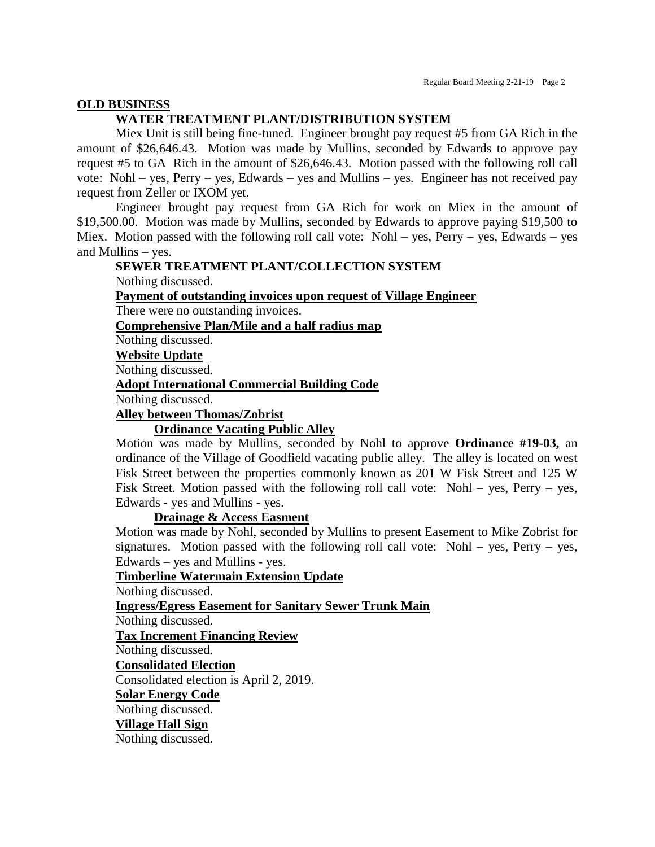#### **OLD BUSINESS**

# **WATER TREATMENT PLANT/DISTRIBUTION SYSTEM**

Miex Unit is still being fine-tuned. Engineer brought pay request #5 from GA Rich in the amount of \$26,646.43. Motion was made by Mullins, seconded by Edwards to approve pay request #5 to GA Rich in the amount of \$26,646.43. Motion passed with the following roll call vote: Nohl – yes, Perry – yes, Edwards – yes and Mullins – yes. Engineer has not received pay request from Zeller or IXOM yet.

Engineer brought pay request from GA Rich for work on Miex in the amount of \$19,500.00. Motion was made by Mullins, seconded by Edwards to approve paying \$19,500 to Miex. Motion passed with the following roll call vote: Nohl – yes, Perry – yes, Edwards – yes and Mullins – yes.

# **SEWER TREATMENT PLANT/COLLECTION SYSTEM**

Nothing discussed.

**Payment of outstanding invoices upon request of Village Engineer**

There were no outstanding invoices.

**Comprehensive Plan/Mile and a half radius map**

Nothing discussed.

**Website Update**

Nothing discussed.

#### **Adopt International Commercial Building Code**

Nothing discussed.

#### **Alley between Thomas/Zobrist**

# **Ordinance Vacating Public Alley**

Motion was made by Mullins, seconded by Nohl to approve **Ordinance #19-03,** an ordinance of the Village of Goodfield vacating public alley. The alley is located on west Fisk Street between the properties commonly known as 201 W Fisk Street and 125 W Fisk Street. Motion passed with the following roll call vote: Nohl – yes, Perry – yes, Edwards - yes and Mullins - yes.

#### **Drainage & Access Easment**

Motion was made by Nohl, seconded by Mullins to present Easement to Mike Zobrist for signatures. Motion passed with the following roll call vote: Nohl – yes, Perry – yes, Edwards – yes and Mullins - yes.

#### **Timberline Watermain Extension Update**

Nothing discussed.

**Ingress/Egress Easement for Sanitary Sewer Trunk Main**

Nothing discussed.

**Tax Increment Financing Review**

Nothing discussed.

**Consolidated Election**

Consolidated election is April 2, 2019.

**Solar Energy Code**

Nothing discussed.

#### **Village Hall Sign**

Nothing discussed.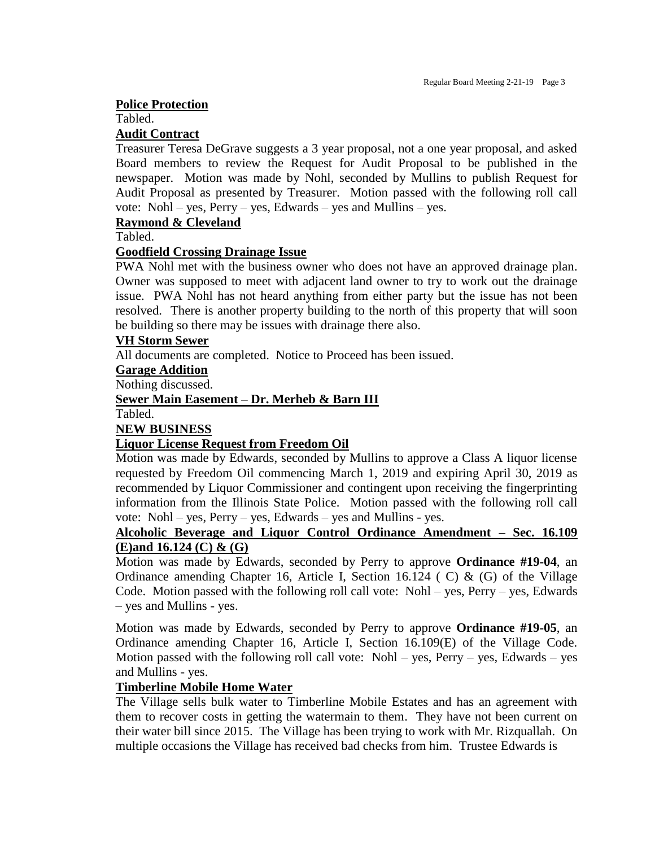#### **Police Protection**

## Tabled.

#### **Audit Contract**

Treasurer Teresa DeGrave suggests a 3 year proposal, not a one year proposal, and asked Board members to review the Request for Audit Proposal to be published in the newspaper. Motion was made by Nohl, seconded by Mullins to publish Request for Audit Proposal as presented by Treasurer. Motion passed with the following roll call vote: Nohl – yes, Perry – yes, Edwards – yes and Mullins – yes.

#### **Raymond & Cleveland**

Tabled.

## **Goodfield Crossing Drainage Issue**

PWA Nohl met with the business owner who does not have an approved drainage plan. Owner was supposed to meet with adjacent land owner to try to work out the drainage issue. PWA Nohl has not heard anything from either party but the issue has not been resolved. There is another property building to the north of this property that will soon be building so there may be issues with drainage there also.

## **VH Storm Sewer**

All documents are completed. Notice to Proceed has been issued.

#### **Garage Addition**

Nothing discussed.

## **Sewer Main Easement – Dr. Merheb & Barn III**

Tabled.

# **NEW BUSINESS**

# **Liquor License Request from Freedom Oil**

Motion was made by Edwards, seconded by Mullins to approve a Class A liquor license requested by Freedom Oil commencing March 1, 2019 and expiring April 30, 2019 as recommended by Liquor Commissioner and contingent upon receiving the fingerprinting information from the Illinois State Police. Motion passed with the following roll call vote: Nohl – yes, Perry – yes, Edwards – yes and Mullins - yes.

# **Alcoholic Beverage and Liquor Control Ordinance Amendment – Sec. 16.109 (E)and 16.124 (C) & (G)**

Motion was made by Edwards, seconded by Perry to approve **Ordinance #19-04**, an Ordinance amending Chapter 16, Article I, Section 16.124 (C) &  $(G)$  of the Village Code. Motion passed with the following roll call vote: Nohl – yes, Perry – yes, Edwards – yes and Mullins - yes.

Motion was made by Edwards, seconded by Perry to approve **Ordinance #19-05**, an Ordinance amending Chapter 16, Article I, Section 16.109(E) of the Village Code. Motion passed with the following roll call vote: Nohl – yes, Perry – yes, Edwards – yes and Mullins - yes.

#### **Timberline Mobile Home Water**

The Village sells bulk water to Timberline Mobile Estates and has an agreement with them to recover costs in getting the watermain to them. They have not been current on their water bill since 2015. The Village has been trying to work with Mr. Rizquallah. On multiple occasions the Village has received bad checks from him. Trustee Edwards is